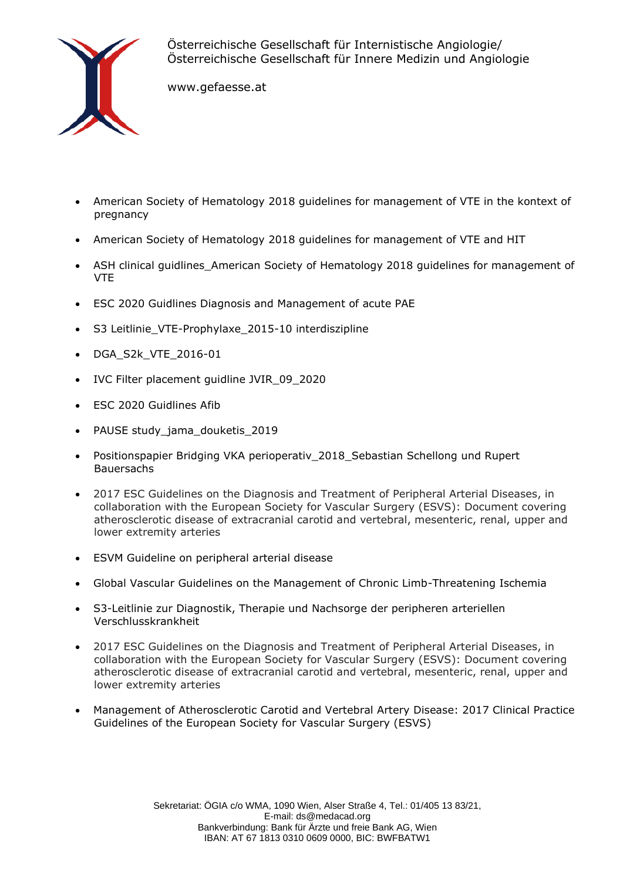

Österreichische Gesellschaft für Internistische Angiologie/ Österreichische Gesellschaft für Innere Medizin und Angiologie

www.gefaesse.at

- American Society of Hematology 2018 guidelines for management of VTE in the kontext of pregnancy
- American Society of Hematology 2018 guidelines for management of VTE and HIT
- ASH clinical guidlines\_American Society of Hematology 2018 guidelines for management of VTE
- ESC 2020 Guidlines Diagnosis and Management of acute PAE
- S3 Leitlinie VTE-Prophylaxe 2015-10 interdiszipline
- DGA\_S2k\_VTE\_2016-01
- IVC Filter placement guidline JVIR\_09\_2020
- ESC 2020 Guidlines Afib
- PAUSE study\_jama\_douketis\_2019
- Positionspapier Bridging VKA perioperativ\_2018\_Sebastian Schellong und Rupert **Bauersachs**
- 2017 ESC Guidelines on the Diagnosis and Treatment of Peripheral Arterial Diseases, in collaboration with the European Society for Vascular Surgery (ESVS): Document covering atherosclerotic disease of extracranial carotid and vertebral, mesenteric, renal, upper and lower extremity arteries
- ESVM Guideline on peripheral arterial disease
- Global Vascular Guidelines on the Management of Chronic Limb-Threatening Ischemia
- S3-Leitlinie zur Diagnostik, Therapie und Nachsorge der peripheren arteriellen Verschlusskrankheit
- 2017 ESC Guidelines on the Diagnosis and Treatment of Peripheral Arterial Diseases, in collaboration with the European Society for Vascular Surgery (ESVS): Document covering atherosclerotic disease of extracranial carotid and vertebral, mesenteric, renal, upper and lower extremity arteries
- Management of Atherosclerotic Carotid and Vertebral Artery Disease: 2017 Clinical Practice Guidelines of the European Society for Vascular Surgery (ESVS)